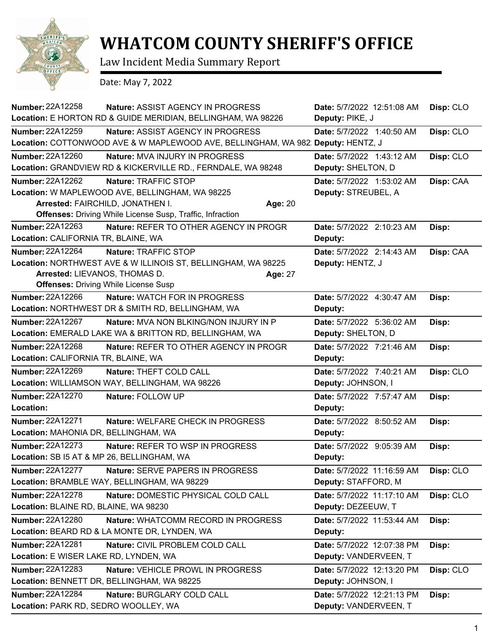

## **WHATCOM COUNTY SHERIFF'S OFFICE**

Law Incident Media Summary Report

Date: May 7, 2022

| <b>Number: 22A12258</b><br><b>Nature: ASSIST AGENCY IN PROGRESS</b><br>Location: E HORTON RD & GUIDE MERIDIAN, BELLINGHAM, WA 98226 | Date: 5/7/2022 12:51:08 AM<br>Deputy: PIKE, J | Disp: CLO |
|-------------------------------------------------------------------------------------------------------------------------------------|-----------------------------------------------|-----------|
| <b>Number: 22A12259</b><br><b>Nature: ASSIST AGENCY IN PROGRESS</b>                                                                 | Date: 5/7/2022 1:40:50 AM                     | Disp: CLO |
| Location: COTTONWOOD AVE & W MAPLEWOOD AVE, BELLINGHAM, WA 982. Deputy: HENTZ, J                                                    |                                               |           |
| Number: 22A12260<br>Nature: MVA INJURY IN PROGRESS                                                                                  | Date: 5/7/2022 1:43:12 AM                     | Disp: CLO |
| Location: GRANDVIEW RD & KICKERVILLE RD., FERNDALE, WA 98248                                                                        | Deputy: SHELTON, D                            |           |
| Number: 22A12262<br>Nature: TRAFFIC STOP                                                                                            | Date: 5/7/2022 1:53:02 AM                     | Disp: CAA |
| Location: W MAPLEWOOD AVE, BELLINGHAM, WA 98225                                                                                     | Deputy: STREUBEL, A                           |           |
| Arrested: FAIRCHILD, JONATHEN I.<br>Age: 20                                                                                         |                                               |           |
| <b>Offenses:</b> Driving While License Susp, Traffic, Infraction                                                                    |                                               |           |
| <b>Number: 22A12263</b><br>Nature: REFER TO OTHER AGENCY IN PROGR                                                                   | Date: 5/7/2022 2:10:23 AM                     | Disp:     |
| Location: CALIFORNIA TR, BLAINE, WA                                                                                                 | Deputy:                                       |           |
| <b>Number: 22A12264</b><br>Nature: TRAFFIC STOP                                                                                     | Date: 5/7/2022 2:14:43 AM                     | Disp: CAA |
| Location: NORTHWEST AVE & W ILLINOIS ST, BELLINGHAM, WA 98225                                                                       | Deputy: HENTZ, J                              |           |
| Arrested: LIEVANOS, THOMAS D.<br>Age: 27                                                                                            |                                               |           |
| <b>Offenses: Driving While License Susp</b>                                                                                         |                                               |           |
| Number: 22A12266<br>Nature: WATCH FOR IN PROGRESS                                                                                   | Date: 5/7/2022 4:30:47 AM                     | Disp:     |
| Location: NORTHWEST DR & SMITH RD, BELLINGHAM, WA                                                                                   | Deputy:                                       |           |
| Number: 22A12267<br>Nature: MVA NON BLKING/NON INJURY IN P                                                                          | Date: 5/7/2022 5:36:02 AM                     | Disp:     |
| Location: EMERALD LAKE WA & BRITTON RD, BELLINGHAM, WA                                                                              | Deputy: SHELTON, D                            |           |
| <b>Number: 22A12268</b><br>Nature: REFER TO OTHER AGENCY IN PROGR                                                                   | Date: 5/7/2022 7:21:46 AM                     | Disp:     |
| Location: CALIFORNIA TR, BLAINE, WA                                                                                                 | Deputy:                                       |           |
| Number: 22A12269<br>Nature: THEFT COLD CALL                                                                                         | Date: 5/7/2022 7:40:21 AM                     | Disp: CLO |
| Location: WILLIAMSON WAY, BELLINGHAM, WA 98226                                                                                      | Deputy: JOHNSON, I                            |           |
| <b>Number: 22A12270</b><br>Nature: FOLLOW UP                                                                                        | Date: 5/7/2022 7:57:47 AM                     | Disp:     |
| Location:                                                                                                                           | Deputy:                                       |           |
| Number: 22A12271<br><b>Nature: WELFARE CHECK IN PROGRESS</b>                                                                        | Date: 5/7/2022 8:50:52 AM                     | Disp:     |
| Location: MAHONIA DR, BELLINGHAM, WA                                                                                                | Deputy:                                       |           |
| <b>Number: 22A12273</b><br>Nature: REFER TO WSP IN PROGRESS                                                                         | Date: 5/7/2022 9:05:39 AM                     | Disp:     |
| Location: SB I5 AT & MP 26, BELLINGHAM, WA                                                                                          | Deputy:                                       |           |
| Number: 22A12277<br>Nature: SERVE PAPERS IN PROGRESS                                                                                | Date: 5/7/2022 11:16:59 AM                    | Disp: CLO |
| Location: BRAMBLE WAY, BELLINGHAM, WA 98229                                                                                         | Deputy: STAFFORD, M                           |           |
| Number: 22A12278<br>Nature: DOMESTIC PHYSICAL COLD CALL                                                                             | Date: 5/7/2022 11:17:10 AM                    | Disp: CLO |
| Location: BLAINE RD, BLAINE, WA 98230                                                                                               | Deputy: DEZEEUW, T                            |           |
| Number: 22A12280<br>Nature: WHATCOMM RECORD IN PROGRESS                                                                             | Date: 5/7/2022 11:53:44 AM                    | Disp:     |
| Location: BEARD RD & LA MONTE DR, LYNDEN, WA                                                                                        | Deputy:                                       |           |
| <b>Number: 22A12281</b><br>Nature: CIVIL PROBLEM COLD CALL                                                                          | Date: 5/7/2022 12:07:38 PM                    | Disp:     |
| Location: E WISER LAKE RD, LYNDEN, WA                                                                                               | Deputy: VANDERVEEN, T                         |           |
| Number: 22A12283<br>Nature: VEHICLE PROWL IN PROGRESS                                                                               | Date: 5/7/2022 12:13:20 PM                    | Disp: CLO |
| Location: BENNETT DR, BELLINGHAM, WA 98225                                                                                          | Deputy: JOHNSON, I                            |           |
| Number: 22A12284<br>Nature: BURGLARY COLD CALL                                                                                      | Date: 5/7/2022 12:21:13 PM                    | Disp:     |
| Location: PARK RD, SEDRO WOOLLEY, WA                                                                                                | Deputy: VANDERVEEN, T                         |           |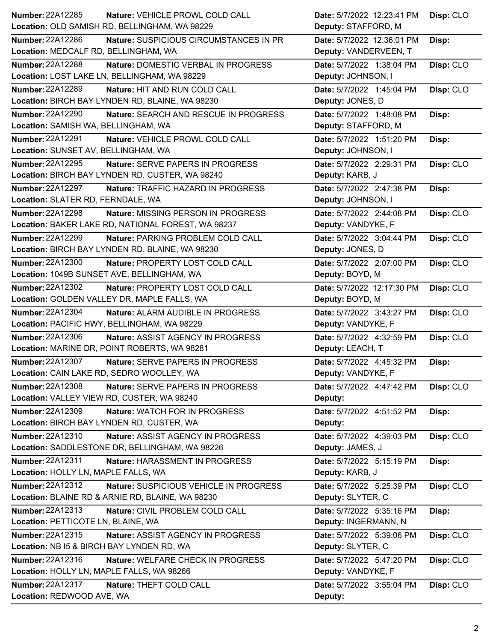| Number: 22A12285<br>Nature: VEHICLE PROWL COLD CALL              | Date: 5/7/2022 12:23:41 PM | Disp: CLO |
|------------------------------------------------------------------|----------------------------|-----------|
| Location: OLD SAMISH RD, BELLINGHAM, WA 98229                    | Deputy: STAFFORD, M        |           |
| Number: 22A12286<br>Nature: SUSPICIOUS CIRCUMSTANCES IN PR       | Date: 5/7/2022 12:36:01 PM | Disp:     |
| Location: MEDCALF RD, BELLINGHAM, WA                             | Deputy: VANDERVEEN, T      |           |
| <b>Number: 22A12288</b><br>Nature: DOMESTIC VERBAL IN PROGRESS   | Date: 5/7/2022 1:38:04 PM  | Disp: CLO |
| Location: LOST LAKE LN, BELLINGHAM, WA 98229                     | Deputy: JOHNSON, I         |           |
| <b>Number: 22A12289</b><br>Nature: HIT AND RUN COLD CALL         | Date: 5/7/2022 1:45:04 PM  | Disp: CLO |
| Location: BIRCH BAY LYNDEN RD, BLAINE, WA 98230                  | Deputy: JONES, D           |           |
| <b>Number: 22A12290</b><br>Nature: SEARCH AND RESCUE IN PROGRESS | Date: 5/7/2022 1:48:08 PM  | Disp:     |
| Location: SAMISH WA, BELLINGHAM, WA                              | Deputy: STAFFORD, M        |           |
| <b>Number: 22A12291</b><br>Nature: VEHICLE PROWL COLD CALL       | Date: 5/7/2022 1:51:20 PM  | Disp:     |
| Location: SUNSET AV, BELLINGHAM, WA                              | Deputy: JOHNSON, I         |           |
| Number: 22A12295<br>Nature: SERVE PAPERS IN PROGRESS             | Date: 5/7/2022 2:29:31 PM  | Disp: CLO |
| Location: BIRCH BAY LYNDEN RD, CUSTER, WA 98240                  | Deputy: KARB, J            |           |
| Number: 22A12297<br>Nature: TRAFFIC HAZARD IN PROGRESS           | Date: 5/7/2022 2:47:38 PM  | Disp:     |
| Location: SLATER RD, FERNDALE, WA                                | Deputy: JOHNSON, I         |           |
| <b>Number: 22A12298</b><br>Nature: MISSING PERSON IN PROGRESS    | Date: 5/7/2022 2:44:08 PM  | Disp: CLO |
| Location: BAKER LAKE RD, NATIONAL FOREST, WA 98237               | Deputy: VANDYKE, F         |           |
| Number: 22A12299<br>Nature: PARKING PROBLEM COLD CALL            | Date: 5/7/2022 3:04:44 PM  | Disp: CLO |
| Location: BIRCH BAY LYNDEN RD, BLAINE, WA 98230                  | Deputy: JONES, D           |           |
| <b>Number: 22A12300</b><br>Nature: PROPERTY LOST COLD CALL       | Date: 5/7/2022 2:07:00 PM  | Disp: CLO |
| Location: 1049B SUNSET AVE, BELLINGHAM, WA                       | Deputy: BOYD, M            |           |
| Number: 22A12302<br>Nature: PROPERTY LOST COLD CALL              | Date: 5/7/2022 12:17:30 PM | Disp: CLO |
| Location: GOLDEN VALLEY DR, MAPLE FALLS, WA                      | Deputy: BOYD, M            |           |
|                                                                  |                            |           |
| <b>Number: 22A12304</b><br>Nature: ALARM AUDIBLE IN PROGRESS     | Date: 5/7/2022 3:43:27 PM  | Disp: CLO |
| Location: PACIFIC HWY, BELLINGHAM, WA 98229                      | Deputy: VANDYKE, F         |           |
| Number: 22A12306<br>Nature: ASSIST AGENCY IN PROGRESS            | Date: 5/7/2022 4:32:59 PM  | Disp: CLO |
| Location: MARINE DR, POINT ROBERTS, WA 98281                     | Deputy: LEACH, T           |           |
| <b>Number: 22A12307</b><br>Nature: SERVE PAPERS IN PROGRESS      | Date: 5/7/2022 4:45:32 PM  | Disp:     |
| Location: CAIN LAKE RD, SEDRO WOOLLEY, WA                        | Deputy: VANDYKE, F         |           |
| Number: 22A12308<br>Nature: SERVE PAPERS IN PROGRESS             | Date: 5/7/2022 4:47:42 PM  | Disp: CLO |
| Location: VALLEY VIEW RD, CUSTER, WA 98240                       | Deputy:                    |           |
| Number: 22A12309<br>Nature: WATCH FOR IN PROGRESS                | Date: 5/7/2022 4:51:52 PM  | Disp:     |
| Location: BIRCH BAY LYNDEN RD, CUSTER, WA                        | Deputy:                    |           |
| Number: 22A12310<br>Nature: ASSIST AGENCY IN PROGRESS            | Date: 5/7/2022 4:39:03 PM  | Disp: CLO |
| Location: SADDLESTONE DR, BELLINGHAM, WA 98226                   | Deputy: JAMES, J           |           |
| Number: 22A12311<br>Nature: HARASSMENT IN PROGRESS               | Date: 5/7/2022 5:15:19 PM  | Disp:     |
| Location: HOLLY LN, MAPLE FALLS, WA                              | Deputy: KARB, J            |           |
| Number: 22A12312<br>Nature: SUSPICIOUS VEHICLE IN PROGRESS       | Date: 5/7/2022 5:25:39 PM  | Disp: CLO |
| Location: BLAINE RD & ARNIE RD, BLAINE, WA 98230                 | Deputy: SLYTER, C          |           |
| <b>Number: 22A12313</b><br>Nature: CIVIL PROBLEM COLD CALL       | Date: 5/7/2022 5:35:16 PM  | Disp:     |
| Location: PETTICOTE LN, BLAINE, WA                               | Deputy: INGERMANN, N       |           |
| Number: 22A12315<br>Nature: ASSIST AGENCY IN PROGRESS            | Date: 5/7/2022 5:39:06 PM  | Disp: CLO |
| Location: NB I5 & BIRCH BAY LYNDEN RD, WA                        | Deputy: SLYTER, C          |           |
| Number: 22A12316<br>Nature: WELFARE CHECK IN PROGRESS            | Date: 5/7/2022 5:47:20 PM  | Disp: CLO |
| Location: HOLLY LN, MAPLE FALLS, WA 98266                        | Deputy: VANDYKE, F         |           |
| Number: 22A12317<br>Nature: THEFT COLD CALL                      | Date: 5/7/2022 3:55:04 PM  | Disp: CLO |